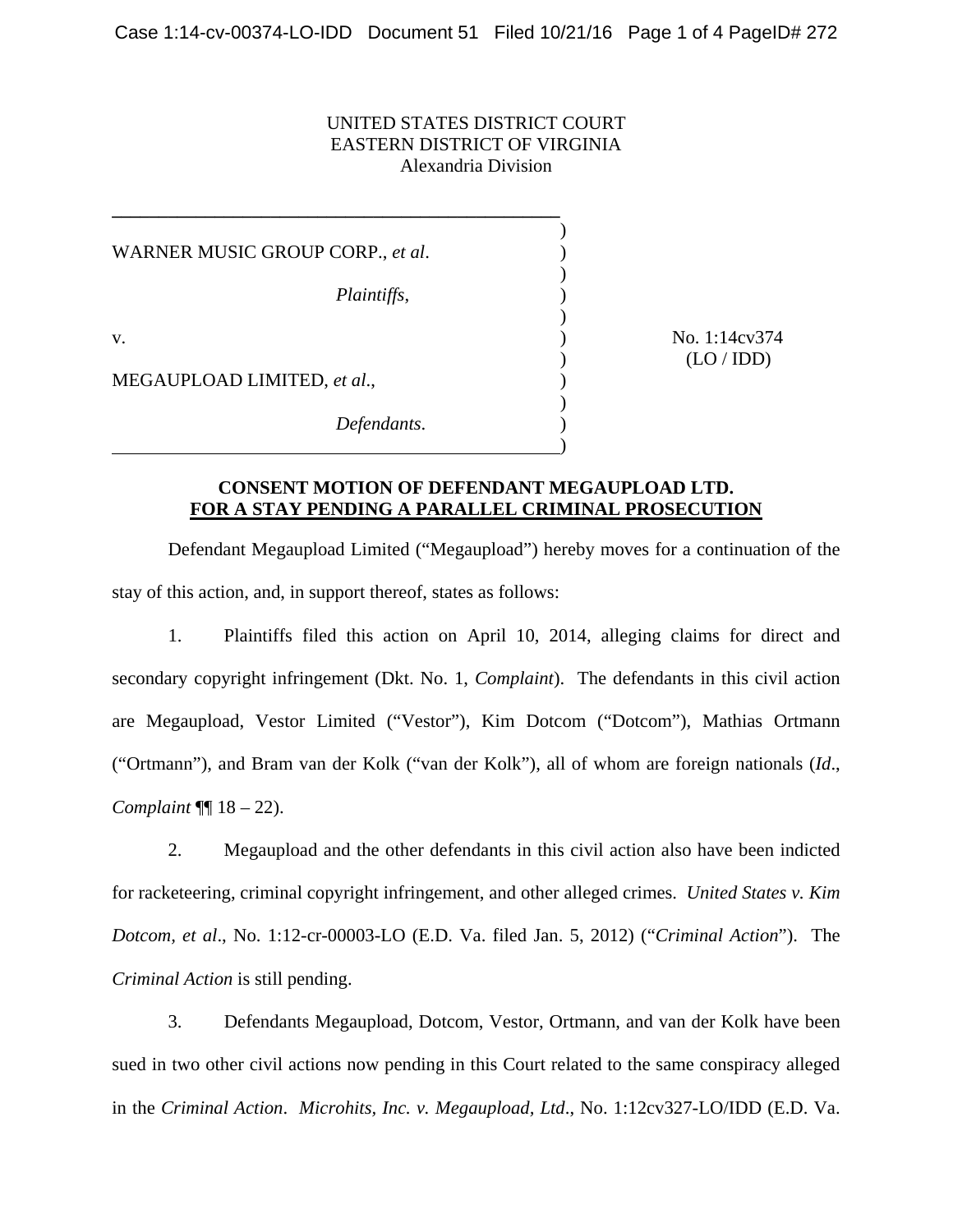## UNITED STATES DISTRICT COURT EASTERN DISTRICT OF VIRGINIA Alexandria Division

 $)$ WARNER MUSIC GROUP CORP., *et al.* )  $)$  *Plaintiffs*, )  $)$ v. (a) No. 1:14cv374 MEGAUPLOAD LIMITED, *et al*., )  $)$ *Defendants*. )

 $\overline{\phantom{a}}$ 

**\_\_\_\_\_\_\_\_\_\_\_\_\_\_\_\_\_\_\_\_\_\_\_\_\_\_\_\_\_\_\_\_\_\_\_\_\_\_\_\_\_\_\_\_\_\_\_\_** 

 $(LO/IDD)$ 

## **CONSENT MOTION OF DEFENDANT MEGAUPLOAD LTD. FOR A STAY PENDING A PARALLEL CRIMINAL PROSECUTION**

 Defendant Megaupload Limited ("Megaupload") hereby moves for a continuation of the stay of this action, and, in support thereof, states as follows:

 1. Plaintiffs filed this action on April 10, 2014, alleging claims for direct and secondary copyright infringement (Dkt. No. 1, *Complaint*). The defendants in this civil action are Megaupload, Vestor Limited ("Vestor"), Kim Dotcom ("Dotcom"), Mathias Ortmann ("Ortmann"), and Bram van der Kolk ("van der Kolk"), all of whom are foreign nationals (*Id*., *Complaint* ¶¶ 18 – 22).

 2. Megaupload and the other defendants in this civil action also have been indicted for racketeering, criminal copyright infringement, and other alleged crimes. *United States v. Kim Dotcom, et al*., No. 1:12-cr-00003-LO (E.D. Va. filed Jan. 5, 2012) ("*Criminal Action*"). The *Criminal Action* is still pending.

 3. Defendants Megaupload, Dotcom, Vestor, Ortmann, and van der Kolk have been sued in two other civil actions now pending in this Court related to the same conspiracy alleged in the *Criminal Action*. *Microhits, Inc. v. Megaupload, Ltd*., No. 1:12cv327-LO/IDD (E.D. Va.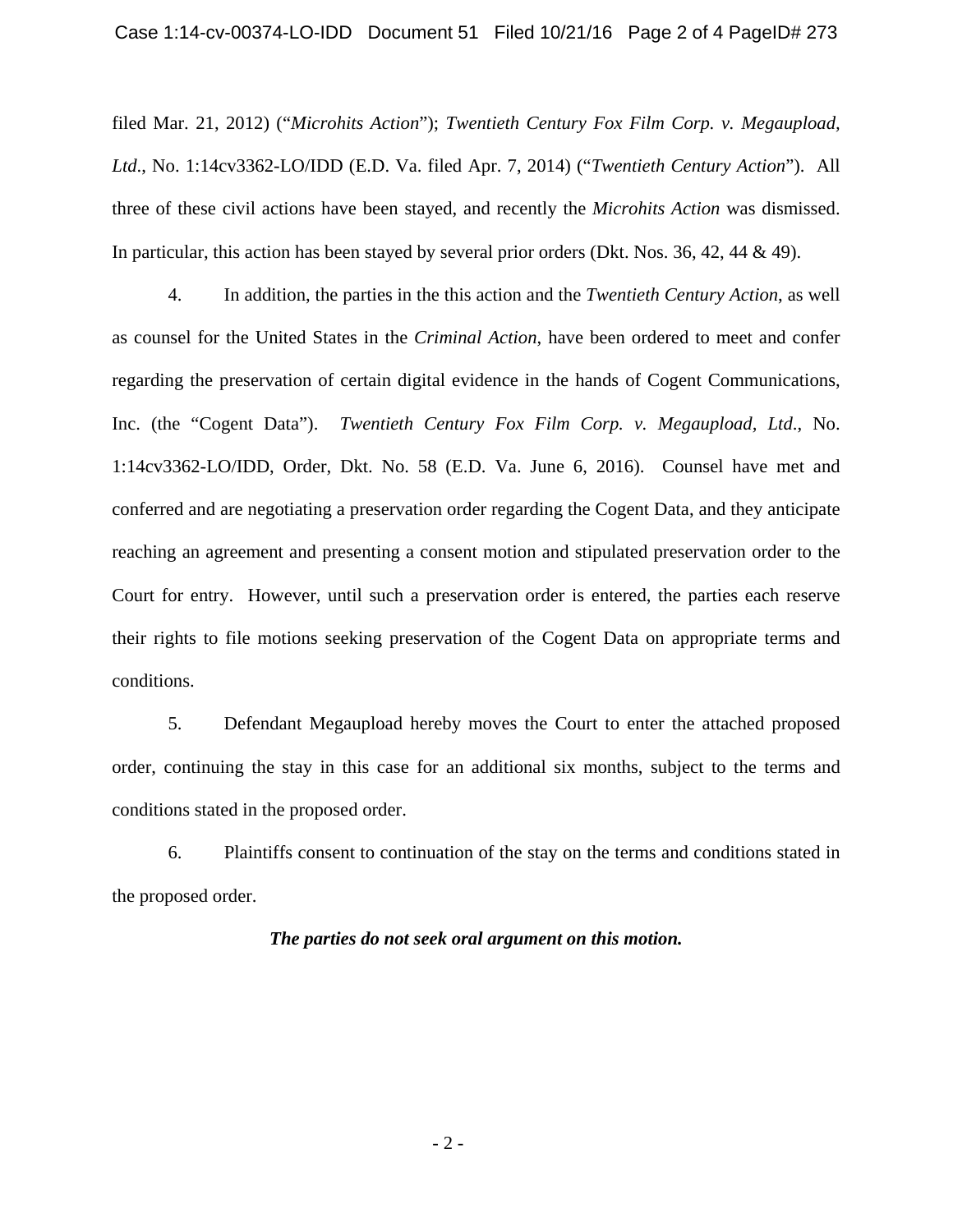filed Mar. 21, 2012) ("*Microhits Action*"); *Twentieth Century Fox Film Corp. v. Megaupload, Ltd*., No. 1:14cv3362-LO/IDD (E.D. Va. filed Apr. 7, 2014) ("*Twentieth Century Action*"). All three of these civil actions have been stayed, and recently the *Microhits Action* was dismissed. In particular, this action has been stayed by several prior orders (Dkt. Nos. 36, 42, 44 & 49).

 4. In addition, the parties in the this action and the *Twentieth Century Action*, as well as counsel for the United States in the *Criminal Action*, have been ordered to meet and confer regarding the preservation of certain digital evidence in the hands of Cogent Communications, Inc. (the "Cogent Data"). *Twentieth Century Fox Film Corp. v. Megaupload, Ltd*., No. 1:14cv3362-LO/IDD, Order, Dkt. No. 58 (E.D. Va. June 6, 2016). Counsel have met and conferred and are negotiating a preservation order regarding the Cogent Data, and they anticipate reaching an agreement and presenting a consent motion and stipulated preservation order to the Court for entry. However, until such a preservation order is entered, the parties each reserve their rights to file motions seeking preservation of the Cogent Data on appropriate terms and conditions.

 5. Defendant Megaupload hereby moves the Court to enter the attached proposed order, continuing the stay in this case for an additional six months, subject to the terms and conditions stated in the proposed order.

 6. Plaintiffs consent to continuation of the stay on the terms and conditions stated in the proposed order.

## *The parties do not seek oral argument on this motion.*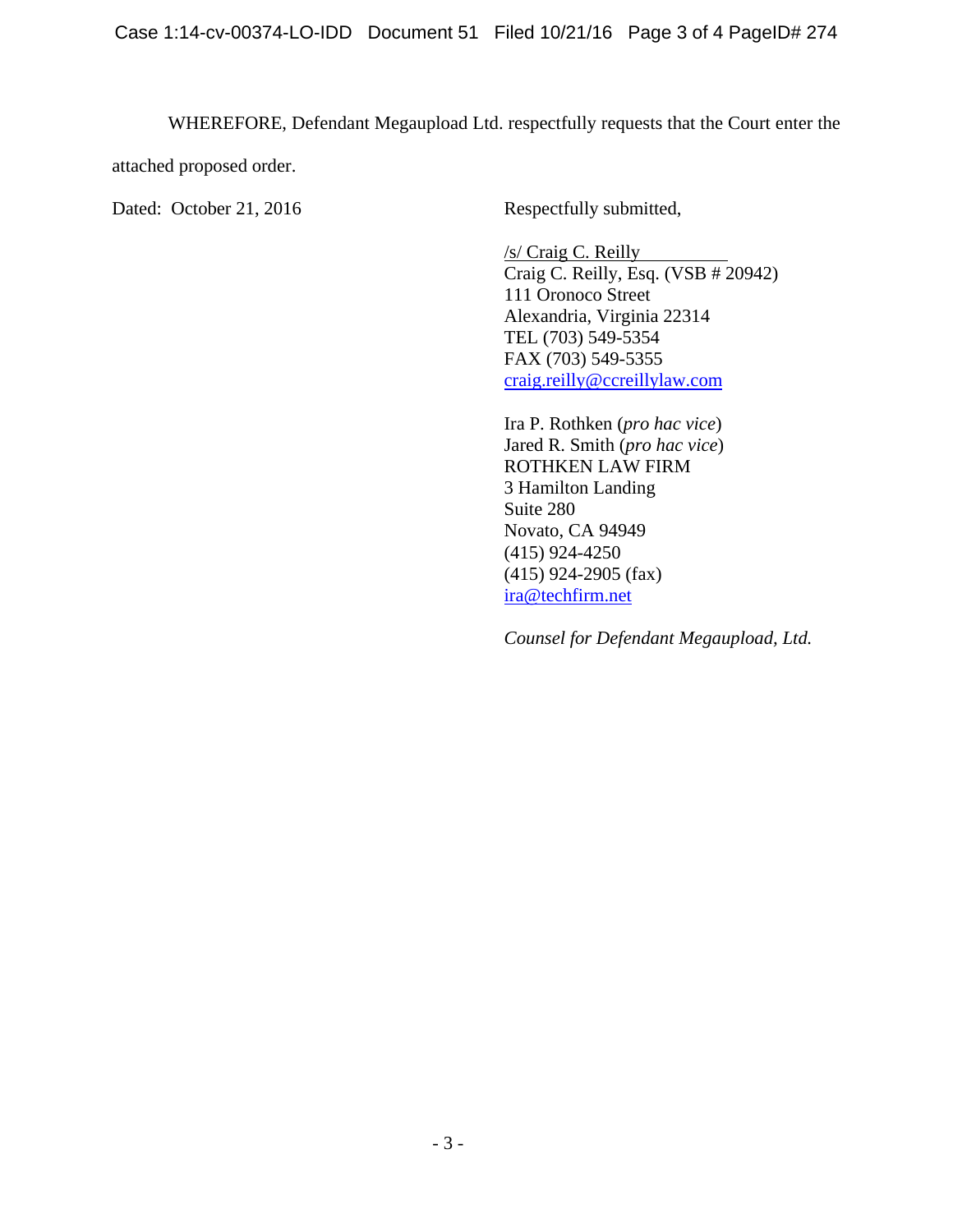WHEREFORE, Defendant Megaupload Ltd. respectfully requests that the Court enter the

attached proposed order.

Dated: October 21, 2016 Respectfully submitted,

 /s/ Craig C. Reilly Craig C. Reilly, Esq. (VSB # 20942) 111 Oronoco Street Alexandria, Virginia 22314 TEL (703) 549-5354 FAX (703) 549-5355 craig.reilly@ccreillylaw.com

Ira P. Rothken (*pro hac vice*) Jared R. Smith (*pro hac vice*) ROTHKEN LAW FIRM 3 Hamilton Landing Suite 280 Novato, CA 94949 (415) 924-4250 (415) 924-2905 (fax) ira@techfirm.net

*Counsel for Defendant Megaupload, Ltd.*